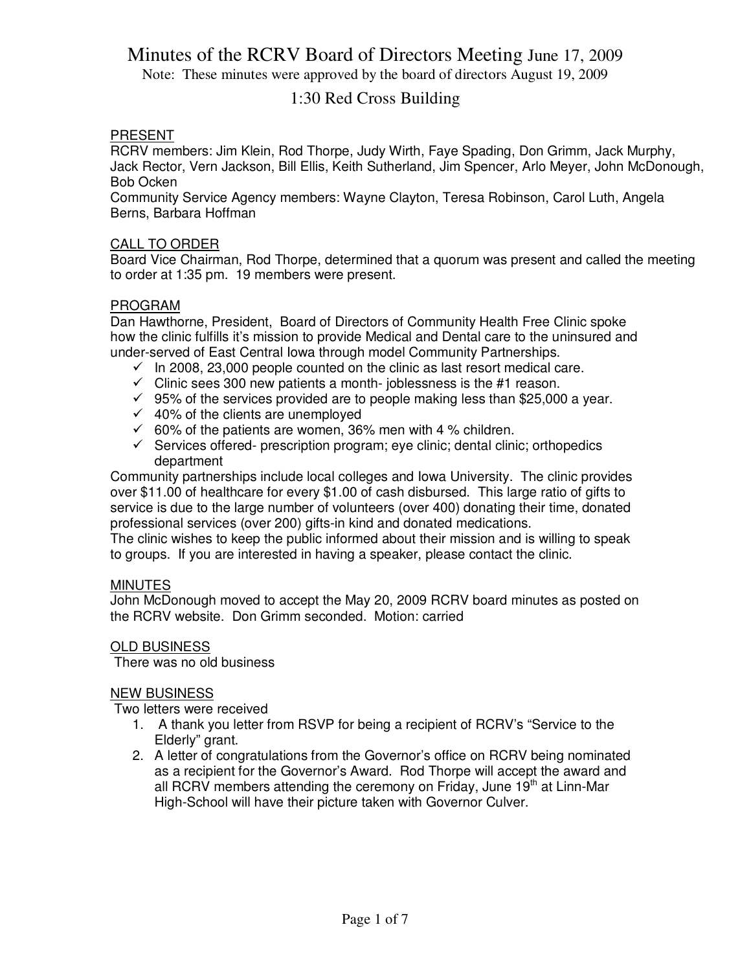Note: These minutes were approved by the board of directors August 19, 2009

### 1:30 Red Cross Building

### PRESENT

RCRV members: Jim Klein, Rod Thorpe, Judy Wirth, Faye Spading, Don Grimm, Jack Murphy, Jack Rector, Vern Jackson, Bill Ellis, Keith Sutherland, Jim Spencer, Arlo Meyer, John McDonough, Bob Ocken

Community Service Agency members: Wayne Clayton, Teresa Robinson, Carol Luth, Angela Berns, Barbara Hoffman

### CALL TO ORDER

Board Vice Chairman, Rod Thorpe, determined that a quorum was present and called the meeting to order at 1:35 pm. 19 members were present.

### PROGRAM

Dan Hawthorne, President, Board of Directors of Community Health Free Clinic spoke how the clinic fulfills it's mission to provide Medical and Dental care to the uninsured and under-served of East Central Iowa through model Community Partnerships.

- $\checkmark$  In 2008, 23,000 people counted on the clinic as last resort medical care.
- $\checkmark$  Clinic sees 300 new patients a month- joblessness is the #1 reason.
- $\checkmark$  95% of the services provided are to people making less than \$25,000 a year.
- $\checkmark$  40% of the clients are unemployed
- $\checkmark$  60% of the patients are women, 36% men with 4 % children.
- $\checkmark$  Services offered- prescription program; eye clinic; dental clinic; orthopedics department

Community partnerships include local colleges and Iowa University. The clinic provides over \$11.00 of healthcare for every \$1.00 of cash disbursed. This large ratio of gifts to service is due to the large number of volunteers (over 400) donating their time, donated professional services (over 200) gifts-in kind and donated medications.

The clinic wishes to keep the public informed about their mission and is willing to speak to groups. If you are interested in having a speaker, please contact the clinic.

### MINUTES

John McDonough moved to accept the May 20, 2009 RCRV board minutes as posted on the RCRV website. Don Grimm seconded. Motion: carried

### OLD BUSINESS

There was no old business

### NEW BUSINESS

Two letters were received

- 1. A thank you letter from RSVP for being a recipient of RCRV's "Service to the Elderly" grant.
- 2. A letter of congratulations from the Governor's office on RCRV being nominated as a recipient for the Governor's Award. Rod Thorpe will accept the award and all RCRV members attending the ceremony on Friday, June  $19<sup>th</sup>$  at Linn-Mar High-School will have their picture taken with Governor Culver.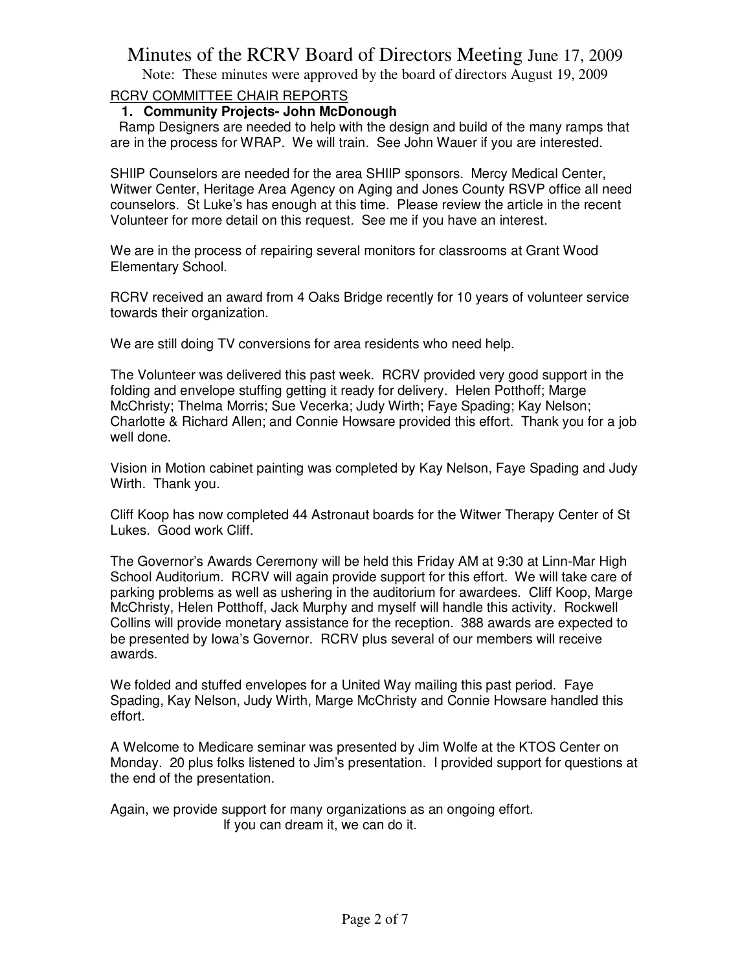Note: These minutes were approved by the board of directors August 19, 2009

### RCRV COMMITTEE CHAIR REPORTS

### **1. Community Projects- John McDonough**

 Ramp Designers are needed to help with the design and build of the many ramps that are in the process for WRAP. We will train. See John Wauer if you are interested.

SHIIP Counselors are needed for the area SHIIP sponsors. Mercy Medical Center, Witwer Center, Heritage Area Agency on Aging and Jones County RSVP office all need counselors. St Luke's has enough at this time. Please review the article in the recent Volunteer for more detail on this request. See me if you have an interest.

We are in the process of repairing several monitors for classrooms at Grant Wood Elementary School.

RCRV received an award from 4 Oaks Bridge recently for 10 years of volunteer service towards their organization.

We are still doing TV conversions for area residents who need help.

The Volunteer was delivered this past week. RCRV provided very good support in the folding and envelope stuffing getting it ready for delivery. Helen Potthoff; Marge McChristy; Thelma Morris; Sue Vecerka; Judy Wirth; Faye Spading; Kay Nelson; Charlotte & Richard Allen; and Connie Howsare provided this effort. Thank you for a job well done.

Vision in Motion cabinet painting was completed by Kay Nelson, Faye Spading and Judy Wirth. Thank you.

Cliff Koop has now completed 44 Astronaut boards for the Witwer Therapy Center of St Lukes. Good work Cliff.

The Governor's Awards Ceremony will be held this Friday AM at 9:30 at Linn-Mar High School Auditorium. RCRV will again provide support for this effort. We will take care of parking problems as well as ushering in the auditorium for awardees. Cliff Koop, Marge McChristy, Helen Potthoff, Jack Murphy and myself will handle this activity. Rockwell Collins will provide monetary assistance for the reception. 388 awards are expected to be presented by Iowa's Governor. RCRV plus several of our members will receive awards.

We folded and stuffed envelopes for a United Way mailing this past period. Faye Spading, Kay Nelson, Judy Wirth, Marge McChristy and Connie Howsare handled this effort.

A Welcome to Medicare seminar was presented by Jim Wolfe at the KTOS Center on Monday. 20 plus folks listened to Jim's presentation. I provided support for questions at the end of the presentation.

Again, we provide support for many organizations as an ongoing effort. If you can dream it, we can do it.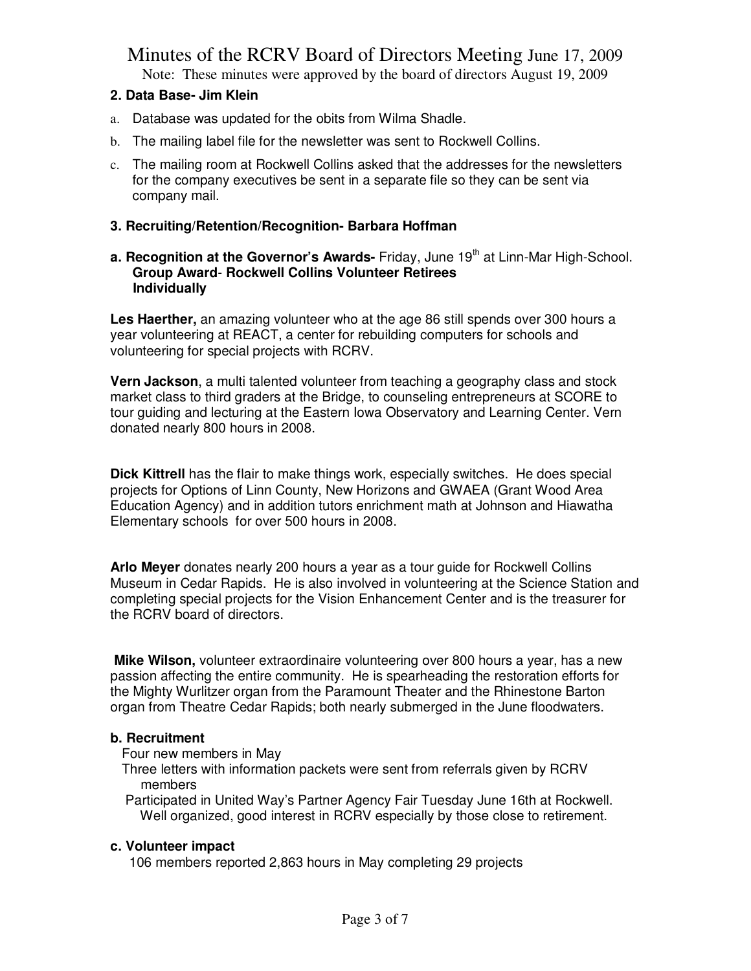Note: These minutes were approved by the board of directors August 19, 2009

### **2. Data Base- Jim Klein**

- a. Database was updated for the obits from Wilma Shadle.
- b. The mailing label file for the newsletter was sent to Rockwell Collins.
- c. The mailing room at Rockwell Collins asked that the addresses for the newsletters for the company executives be sent in a separate file so they can be sent via company mail.

### **3. Recruiting/Retention/Recognition- Barbara Hoffman**

#### **a. Recognition at the Governor's Awards-** Friday, June 19<sup>th</sup> at Linn-Mar High-School. **Group Award**- **Rockwell Collins Volunteer Retirees Individually**

**Les Haerther,** an amazing volunteer who at the age 86 still spends over 300 hours a year volunteering at REACT, a center for rebuilding computers for schools and volunteering for special projects with RCRV.

**Vern Jackson**, a multi talented volunteer from teaching a geography class and stock market class to third graders at the Bridge, to counseling entrepreneurs at SCORE to tour guiding and lecturing at the Eastern Iowa Observatory and Learning Center. Vern donated nearly 800 hours in 2008.

**Dick Kittrell** has the flair to make things work, especially switches. He does special projects for Options of Linn County, New Horizons and GWAEA (Grant Wood Area Education Agency) and in addition tutors enrichment math at Johnson and Hiawatha Elementary schools for over 500 hours in 2008.

**Arlo Meyer** donates nearly 200 hours a year as a tour guide for Rockwell Collins Museum in Cedar Rapids. He is also involved in volunteering at the Science Station and completing special projects for the Vision Enhancement Center and is the treasurer for the RCRV board of directors.

**Mike Wilson,** volunteer extraordinaire volunteering over 800 hours a year, has a new passion affecting the entire community. He is spearheading the restoration efforts for the Mighty Wurlitzer organ from the Paramount Theater and the Rhinestone Barton organ from Theatre Cedar Rapids; both nearly submerged in the June floodwaters.

### **b. Recruitment**

Four new members in May

 Three letters with information packets were sent from referrals given by RCRV members

 Participated in United Way's Partner Agency Fair Tuesday June 16th at Rockwell. Well organized, good interest in RCRV especially by those close to retirement.

### **c. Volunteer impact**

106 members reported 2,863 hours in May completing 29 projects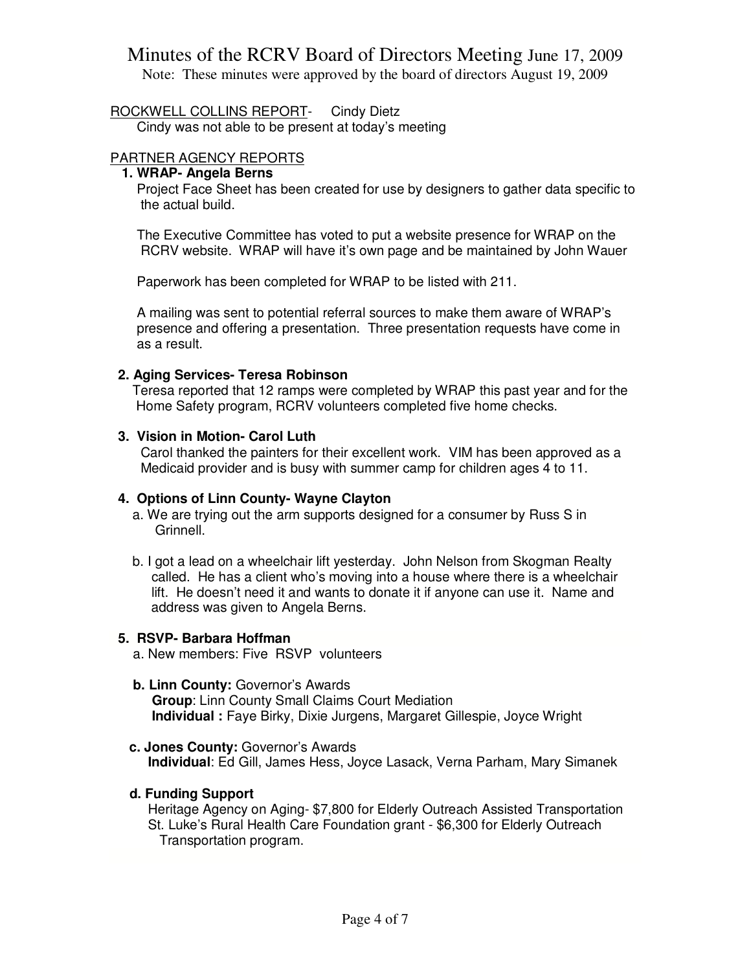Note: These minutes were approved by the board of directors August 19, 2009

ROCKWELL COLLINS REPORT- Cindy Dietz

Cindy was not able to be present at today's meeting

### PARTNER AGENCY REPORTS

### **1. WRAP- Angela Berns**

Project Face Sheet has been created for use by designers to gather data specific to the actual build.

 The Executive Committee has voted to put a website presence for WRAP on the RCRV website. WRAP will have it's own page and be maintained by John Wauer

Paperwork has been completed for WRAP to be listed with 211.

 A mailing was sent to potential referral sources to make them aware of WRAP's presence and offering a presentation. Three presentation requests have come in as a result.

### **2. Aging Services- Teresa Robinson**

Teresa reported that 12 ramps were completed by WRAP this past year and for the Home Safety program, RCRV volunteers completed five home checks.

#### **3. Vision in Motion- Carol Luth**

Carol thanked the painters for their excellent work. VIM has been approved as a Medicaid provider and is busy with summer camp for children ages 4 to 11.

### **4. Options of Linn County- Wayne Clayton**

- a. We are trying out the arm supports designed for a consumer by Russ S in Grinnell.
- b. I got a lead on a wheelchair lift yesterday. John Nelson from Skogman Realty called. He has a client who's moving into a house where there is a wheelchair lift. He doesn't need it and wants to donate it if anyone can use it. Name and address was given to Angela Berns.

#### **5. RSVP- Barbara Hoffman**

- a. New members: Five RSVP volunteers
- **b. Linn County:** Governor's Awards  **Group**: Linn County Small Claims Court Mediation  **Individual :** Faye Birky, Dixie Jurgens, Margaret Gillespie, Joyce Wright

### **c. Jones County:** Governor's Awards

 **Individual**: Ed Gill, James Hess, Joyce Lasack, Verna Parham, Mary Simanek

### **d. Funding Support**

 Heritage Agency on Aging- \$7,800 for Elderly Outreach Assisted Transportation St. Luke's Rural Health Care Foundation grant - \$6,300 for Elderly Outreach Transportation program.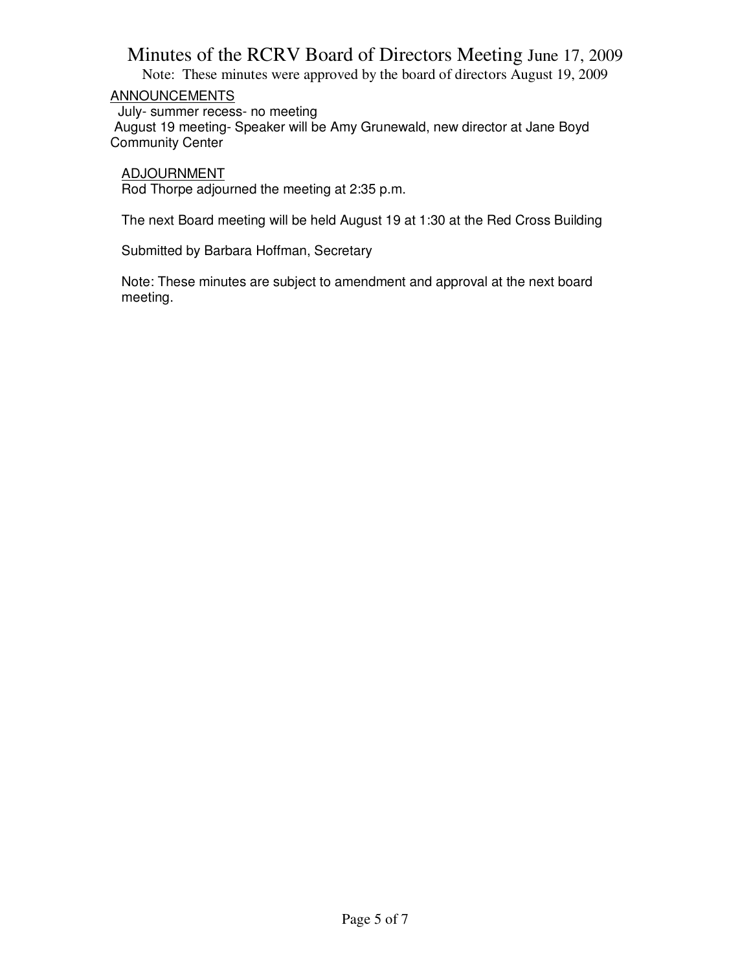Note: These minutes were approved by the board of directors August 19, 2009

### ANNOUNCEMENTS

 July- summer recess- no meeting August 19 meeting- Speaker will be Amy Grunewald, new director at Jane Boyd Community Center

ADJOURNMENT

Rod Thorpe adjourned the meeting at 2:35 p.m.

The next Board meeting will be held August 19 at 1:30 at the Red Cross Building

Submitted by Barbara Hoffman, Secretary

Note: These minutes are subject to amendment and approval at the next board meeting.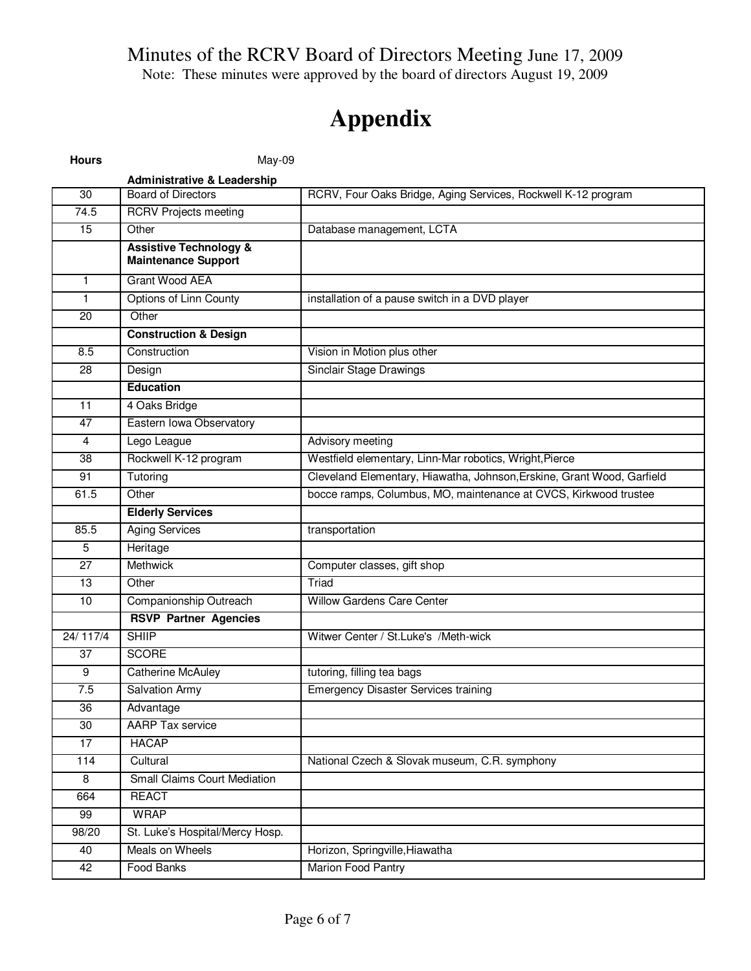Note: These minutes were approved by the board of directors August 19, 2009

# **Appendix**

| <b>Hours</b>      | May-09                                                          |                                                                        |
|-------------------|-----------------------------------------------------------------|------------------------------------------------------------------------|
|                   | <b>Administrative &amp; Leadership</b>                          |                                                                        |
| 30                | <b>Board of Directors</b>                                       | RCRV, Four Oaks Bridge, Aging Services, Rockwell K-12 program          |
| $\overline{74.5}$ | <b>RCRV Projects meeting</b>                                    |                                                                        |
| 15                | Other                                                           | Database management, LCTA                                              |
|                   | <b>Assistive Technology &amp;</b><br><b>Maintenance Support</b> |                                                                        |
| $\mathbf{1}$      | Grant Wood AEA                                                  |                                                                        |
| $\mathbf{1}$      | <b>Options of Linn County</b>                                   | installation of a pause switch in a DVD player                         |
| 20                | Other                                                           |                                                                        |
|                   | <b>Construction &amp; Design</b>                                |                                                                        |
| 8.5               | Construction                                                    | Vision in Motion plus other                                            |
| 28                | Design                                                          | Sinclair Stage Drawings                                                |
|                   | <b>Education</b>                                                |                                                                        |
| 11                | 4 Oaks Bridge                                                   |                                                                        |
| 47                | Eastern Iowa Observatory                                        |                                                                        |
| $\overline{4}$    | Lego League                                                     | Advisory meeting                                                       |
| 38                | Rockwell K-12 program                                           | Westfield elementary, Linn-Mar robotics, Wright, Pierce                |
| 91                | Tutoring                                                        | Cleveland Elementary, Hiawatha, Johnson, Erskine, Grant Wood, Garfield |
| 61.5              | Other                                                           | bocce ramps, Columbus, MO, maintenance at CVCS, Kirkwood trustee       |
|                   | <b>Elderly Services</b>                                         |                                                                        |
| 85.5              | <b>Aging Services</b>                                           | transportation                                                         |
| 5                 | Heritage                                                        |                                                                        |
| 27                | <b>Methwick</b>                                                 | Computer classes, gift shop                                            |
| 13                | Other                                                           | Triad                                                                  |
| 10                | Companionship Outreach                                          | Willow Gardens Care Center                                             |
|                   | <b>RSVP Partner Agencies</b>                                    |                                                                        |
| 24/ 117/4         | <b>SHIIP</b>                                                    | Witwer Center / St.Luke's /Meth-wick                                   |
| 37                | <b>SCORE</b>                                                    |                                                                        |
| 9                 | <b>Catherine McAuley</b>                                        | tutoring, filling tea bags                                             |
| 7.5               | <b>Salvation Army</b>                                           | <b>Emergency Disaster Services training</b>                            |
| $\overline{36}$   | Advantage                                                       |                                                                        |
| 30                | <b>AARP Tax service</b>                                         |                                                                        |
| 17                | <b>HACAP</b>                                                    |                                                                        |
| 114               | Cultural                                                        | National Czech & Slovak museum, C.R. symphony                          |
| 8                 | <b>Small Claims Court Mediation</b>                             |                                                                        |
| 664               | <b>REACT</b>                                                    |                                                                        |
| 99                | <b>WRAP</b>                                                     |                                                                        |
| 98/20             | St. Luke's Hospital/Mercy Hosp.                                 |                                                                        |
| 40                | Meals on Wheels                                                 | Horizon, Springville, Hiawatha                                         |
| 42                | <b>Food Banks</b>                                               | <b>Marion Food Pantry</b>                                              |